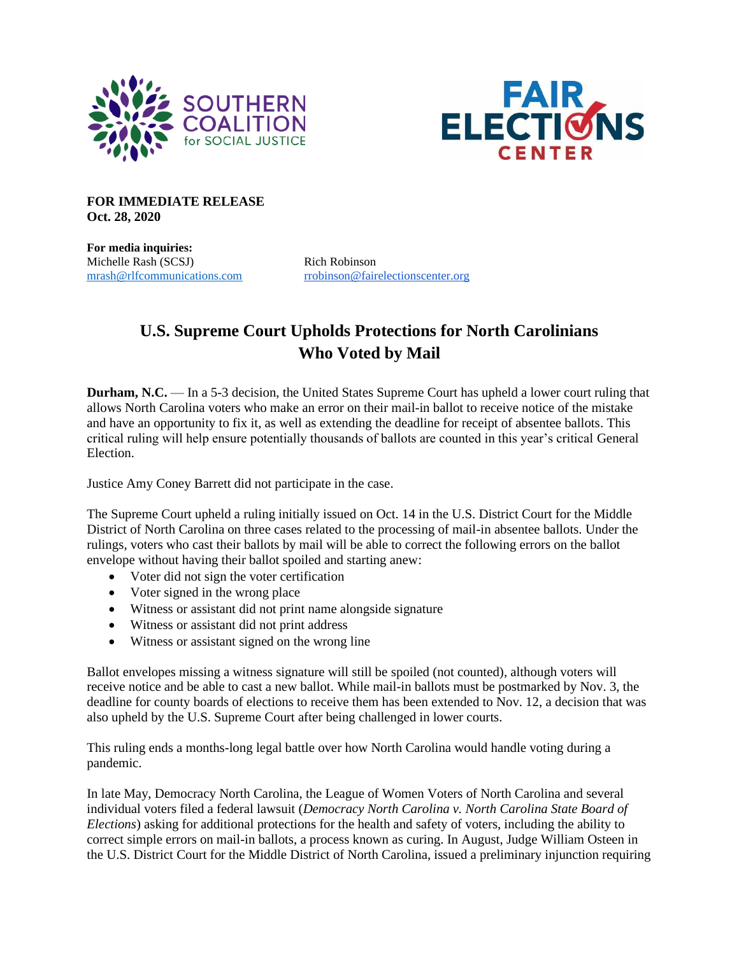



**FOR IMMEDIATE RELEASE Oct. 28, 2020**

**For media inquiries:** Michelle Rash (SCSJ) Rich Robinson

[mrash@rlfcommunications.com](mailto:mrash@rlfcommunications.com) [rrobinson@fairelectionscenter.org](mailto:rrobinson@fairelectionscenter.org)

## **U.S. Supreme Court Upholds Protections for North Carolinians Who Voted by Mail**

**Durham, N.C.** — In a 5-3 decision, the United States Supreme Court has upheld a lower court ruling that allows North Carolina voters who make an error on their mail-in ballot to receive notice of the mistake and have an opportunity to fix it, as well as extending the deadline for receipt of absentee ballots. This critical ruling will help ensure potentially thousands of ballots are counted in this year's critical General Election.

Justice Amy Coney Barrett did not participate in the case.

The Supreme Court upheld a ruling initially issued on Oct. 14 in the U.S. District Court for the Middle District of North Carolina on three cases related to the processing of mail-in absentee ballots. Under the rulings, voters who cast their ballots by mail will be able to correct the following errors on the ballot envelope without having their ballot spoiled and starting anew:

- Voter did not sign the voter certification
- Voter signed in the wrong place
- Witness or assistant did not print name alongside signature
- Witness or assistant did not print address
- Witness or assistant signed on the wrong line

Ballot envelopes missing a witness signature will still be spoiled (not counted), although voters will receive notice and be able to cast a new ballot. While mail-in ballots must be postmarked by Nov. 3, the deadline for county boards of elections to receive them has been extended to Nov. 12, a decision that was also upheld by the U.S. Supreme Court after being challenged in lower courts.

This ruling ends a months-long legal battle over how North Carolina would handle voting during a pandemic.

In late May, Democracy North Carolina, the League of Women Voters of North Carolina and several individual voters filed a federal lawsuit (*Democracy North Carolina v. North Carolina State Board of Elections*) asking for additional protections for the health and safety of voters, including the ability to correct simple errors on mail-in ballots, a process known as curing. In August, Judge William Osteen in the U.S. District Court for the Middle District of North Carolina, issued a preliminary injunction requiring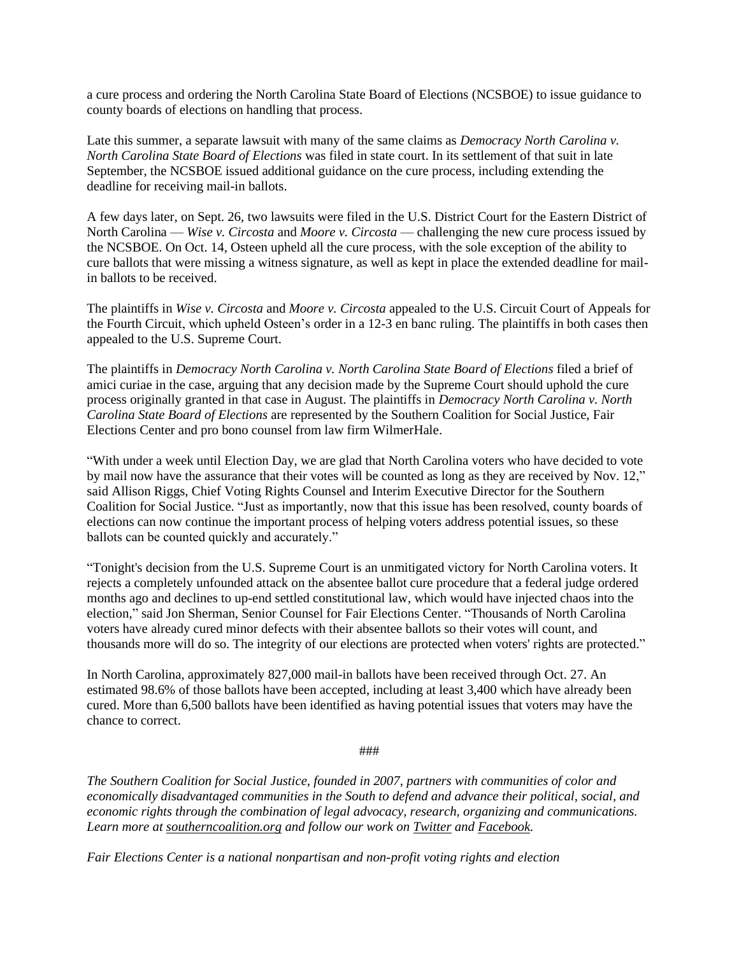a cure process and ordering the North Carolina State Board of Elections (NCSBOE) to issue guidance to county boards of elections on handling that process.

Late this summer, a separate lawsuit with many of the same claims as *Democracy North Carolina v. North Carolina State Board of Elections* was filed in state court. In its settlement of that suit in late September, the NCSBOE issued additional guidance on the cure process, including extending the deadline for receiving mail-in ballots.

A few days later, on Sept. 26, two lawsuits were filed in the U.S. District Court for the Eastern District of North Carolina — *Wise v. Circosta* and *Moore v. Circosta* — challenging the new cure process issued by the NCSBOE. On Oct. 14, Osteen upheld all the cure process, with the sole exception of the ability to cure ballots that were missing a witness signature, as well as kept in place the extended deadline for mailin ballots to be received.

The plaintiffs in *Wise v. Circosta* and *Moore v. Circosta* appealed to the U.S. Circuit Court of Appeals for the Fourth Circuit, which upheld Osteen's order in a 12-3 en banc ruling. The plaintiffs in both cases then appealed to the U.S. Supreme Court.

The plaintiffs in *Democracy North Carolina v. North Carolina State Board of Elections* filed a brief of amici curiae in the case, arguing that any decision made by the Supreme Court should uphold the cure process originally granted in that case in August. The plaintiffs in *Democracy North Carolina v. North Carolina State Board of Elections* are represented by the Southern Coalition for Social Justice, Fair Elections Center and pro bono counsel from law firm WilmerHale.

"With under a week until Election Day, we are glad that North Carolina voters who have decided to vote by mail now have the assurance that their votes will be counted as long as they are received by Nov. 12," said Allison Riggs, Chief Voting Rights Counsel and Interim Executive Director for the Southern Coalition for Social Justice. "Just as importantly, now that this issue has been resolved, county boards of elections can now continue the important process of helping voters address potential issues, so these ballots can be counted quickly and accurately."

"Tonight's decision from the U.S. Supreme Court is an unmitigated victory for North Carolina voters. It rejects a completely unfounded attack on the absentee ballot cure procedure that a federal judge ordered months ago and declines to up-end settled constitutional law, which would have injected chaos into the election," said Jon Sherman, Senior Counsel for Fair Elections Center. "Thousands of North Carolina voters have already cured minor defects with their absentee ballots so their votes will count, and thousands more will do so. The integrity of our elections are protected when voters' rights are protected."

In North Carolina, approximately 827,000 mail-in ballots have been received through Oct. 27. An estimated 98.6% of those ballots have been accepted, including at least 3,400 which have already been cured. More than 6,500 ballots have been identified as having potential issues that voters may have the chance to correct.

## ###

*The Southern Coalition for Social Justice, founded in 2007, partners with communities of color and economically disadvantaged communities in the South to defend and advance their political, social, and economic rights through the combination of legal advocacy, research, organizing and communications. Learn more a[t southerncoalition.org](https://www.southerncoalition.org/) and follow our work on [Twitter](https://twitter.com/scsj) and [Facebook.](https://www.facebook.com/southerncoalition/)*

*Fair Elections Center is a national nonpartisan and non-profit voting rights and election*